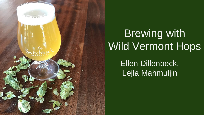

# Brewing with Wild Vermont Hops

Ellen Dillenbeck, Lejla Mahmuljin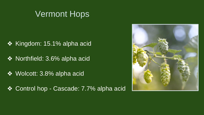### Vermont Hops

- ❖ Kingdom: 15.1% alpha acid
- ❖ Northfield: 3.6% alpha acid
- ❖ Wolcott: 3.8% alpha acid
- ❖ Control hop Cascade: 7.7% alpha acid

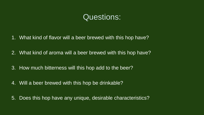### Questions:

- 1. What kind of flavor will a beer brewed with this hop have?
- 2. What kind of aroma will a beer brewed with this hop have?
- 3. How much bitterness will this hop add to the beer?
- 4. Will a beer brewed with this hop be drinkable?
- 5. Does this hop have any unique, desirable characteristics?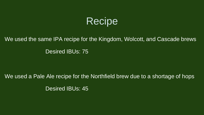## Recipe

### We used the same IPA recipe for the Kingdom, Wolcott, and Cascade brews Desired IBUs: 75

We used a Pale Ale recipe for the Northfield brew due to a shortage of hops Desired IBUs: 45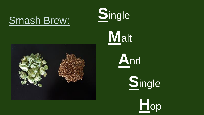# Smash Brew:





# **M**alt





**H**op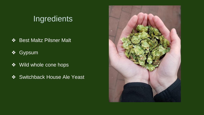### **Ingredients**

- ❖ Best Maltz Pilsner Malt
- ❖ Gypsum
- ❖ Wild whole cone hops
- ❖ Switchback House Ale Yeast

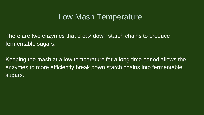### Low Mash Temperature

There are two enzymes that break down starch chains to produce fermentable sugars.

Keeping the mash at a low temperature for a long time period allows the enzymes to more efficiently break down starch chains into fermentable sugars.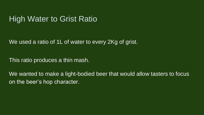### High Water to Grist Ratio

We used a ratio of 1L of water to every 2Kg of grist.

This ratio produces a thin mash.

We wanted to make a light-bodied beer that would allow tasters to focus on the beer's hop character.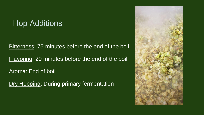### Hop Additions

Bitterness: 75 minutes before the end of the boil

Flavoring: 20 minutes before the end of the boil

Aroma: End of boil

Dry Hopping: During primary fermentation

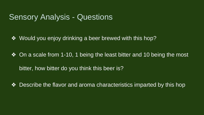### **Sensory Analysis - Questions**

❖ Would you enjoy drinking a beer brewed with this hop?

❖ On a scale from 1-10, 1 being the least bitter and 10 being the most bitter, how bitter do you think this beer is?

❖ Describe the flavor and aroma characteristics imparted by this hop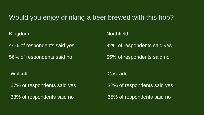### Would you enjoy drinking a beer brewed with this hop?

Kingdom:

44% of respondents said yes

56% of respondents said no

#### Northfield:

32% of respondents said yes

65% of respondents said no

#### Wolcott:

67% of respondents said yes

33% of respondents said no

#### Cascade:

32% of respondents said yes

65% of respondents said no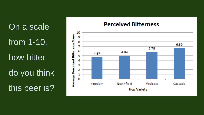On a scale from 1-10, how bitter do you think this beer is?

#### **Perceived Bitterness**

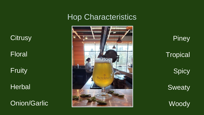### Hop Characteristics



**Piney Tropical Spicy Sweaty Woody** 

**Citrusy** 

Floral

Fruity

**Herbal** 

Onion/Garlic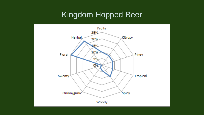### Kingdom Hopped Beer

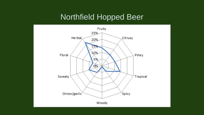### Northfield Hopped Beer

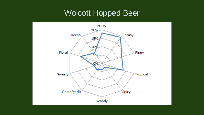### Wolcott Hopped Beer

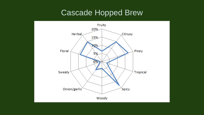### Cascade Hopped Brew

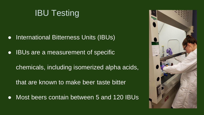

- International Bitterness Units (IBUs)
- IBUs are a measurement of specific
	- chemicals, including isomerized alpha acids,
	- that are known to make beer taste bitter
- Most beers contain between 5 and 120 IBUs

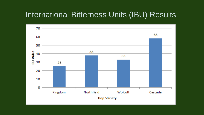### International Bitterness Units (IBU) Results

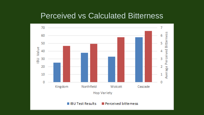### Perceived vs Calculated Bitterness

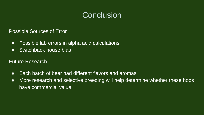### **Conclusion**

Possible Sources of Error

- Possible lab errors in alpha acid calculations
- Switchback house bias

Future Research

- Each batch of beer had different flavors and aromas
- More research and selective breeding will help determine whether these hops have commercial value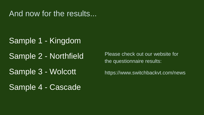And now for the results...

### Sample 1 - Kingdom

Sample 2 - Northfield

Sample 3 - Wolcott

Sample 4 - Cascade

Please check out our website for the questionnaire results:

https://www.switchbackvt.com/news